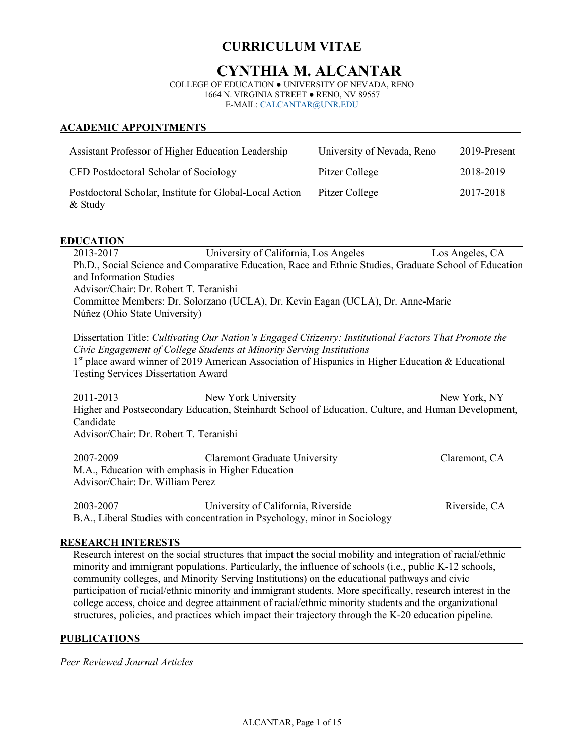# **CURRICULUM VITAE**

# **CYNTHIA M. ALCANTAR**

COLLEGE OF EDUCATION ● UNIVERSITY OF NEVADA, RENO 1664 N. VIRGINIA STREET ● RENO, NV 89557 E-MAIL: CALCANTAR@UNR.EDU

#### **ACADEMIC APPOINTMENTS\_\_\_\_\_\_\_\_\_\_\_\_\_\_\_\_\_\_\_\_\_\_\_\_\_\_\_\_\_\_\_\_\_\_\_\_\_\_\_\_\_\_\_\_\_\_\_\_\_\_\_\_\_\_\_\_\_\_\_\_**

| Assistant Professor of Higher Education Leadership                   | University of Nevada, Reno | 2019-Present |
|----------------------------------------------------------------------|----------------------------|--------------|
| CFD Postdoctoral Scholar of Sociology                                | Pitzer College             | 2018-2019    |
| Postdoctoral Scholar, Institute for Global-Local Action<br>$&$ Study | Pitzer College             | 2017-2018    |

#### **EDUCATION**

2013-2017 University of California, Los Angeles Los Angeles, CA Ph.D., Social Science and Comparative Education, Race and Ethnic Studies, Graduate School of Education and Information Studies Advisor/Chair: Dr. Robert T. Teranishi Committee Members: Dr. Solorzano (UCLA), Dr. Kevin Eagan (UCLA), Dr. Anne-Marie Núñez (Ohio State University)

Dissertation Title: *Cultivating Our Nation's Engaged Citizenry: Institutional Factors That Promote the Civic Engagement of College Students at Minority Serving Institutions* 1<sup>st</sup> place award winner of 2019 American Association of Hispanics in Higher Education & Educational Testing Services Dissertation Award

2011-2013 New York University New York, NY Higher and Postsecondary Education, Steinhardt School of Education, Culture, and Human Development, Candidate Advisor/Chair: Dr. Robert T. Teranishi

| 2007-2009                                         | <b>Claremont Graduate University</b> | Claremont, CA |
|---------------------------------------------------|--------------------------------------|---------------|
| M.A., Education with emphasis in Higher Education |                                      |               |
| Advisor/Chair: Dr. William Perez                  |                                      |               |
|                                                   |                                      |               |

| 2003-2007 | University of California, Riverside                                        | Riverside, CA |
|-----------|----------------------------------------------------------------------------|---------------|
|           | B.A., Liberal Studies with concentration in Psychology, minor in Sociology |               |

#### **RESEARCH INTERESTS**

Research interest on the social structures that impact the social mobility and integration of racial/ethnic minority and immigrant populations. Particularly, the influence of schools (i.e., public K-12 schools, community colleges, and Minority Serving Institutions) on the educational pathways and civic participation of racial/ethnic minority and immigrant students. More specifically, research interest in the college access, choice and degree attainment of racial/ethnic minority students and the organizational structures, policies, and practices which impact their trajectory through the K-20 education pipeline.

#### PUBLICATIONS

*Peer Reviewed Journal Articles*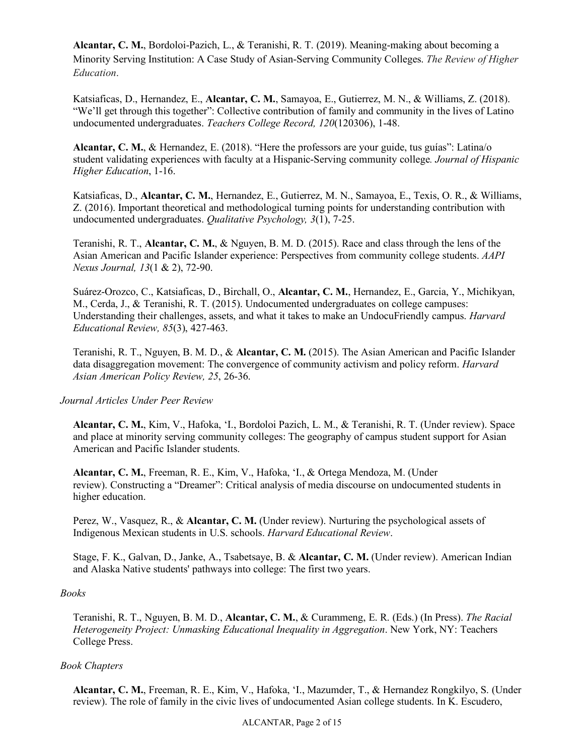**Alcantar, C. M.**, Bordoloi-Pazich, L., & Teranishi, R. T. (2019). Meaning-making about becoming a Minority Serving Institution: A Case Study of Asian-Serving Community Colleges. *The Review of Higher Education*.

Katsiaficas, D., Hernandez, E., **Alcantar, C. M.**, Samayoa, E., Gutierrez, M. N., & Williams, Z. (2018). "We'll get through this together": Collective contribution of family and community in the lives of Latino undocumented undergraduates. *Teachers College Record, 120*(120306), 1-48.

**Alcantar, C. M.**, & Hernandez, E. (2018). "Here the professors are your guide, tus guías": Latina/o student validating experiences with faculty at a Hispanic-Serving community college*. Journal of Hispanic Higher Education*, 1-16.

Katsiaficas, D., **Alcantar, C. M.**, Hernandez, E., Gutierrez, M. N., Samayoa, E., Texis, O. R., & Williams, Z. (2016). Important theoretical and methodological turning points for understanding contribution with undocumented undergraduates. *Qualitative Psychology, 3*(1), 7-25.

Teranishi, R. T., **Alcantar, C. M.**, & Nguyen, B. M. D. (2015). Race and class through the lens of the Asian American and Pacific Islander experience: Perspectives from community college students. *AAPI Nexus Journal, 13*(1 & 2), 72-90.

Suárez-Orozco, C., Katsiaficas, D., Birchall, O., **Alcantar, C. M.**, Hernandez, E., Garcia, Y., Michikyan, M., Cerda, J., & Teranishi, R. T. (2015). Undocumented undergraduates on college campuses: Understanding their challenges, assets, and what it takes to make an UndocuFriendly campus. *Harvard Educational Review, 85*(3), 427-463.

Teranishi, R. T., Nguyen, B. M. D., & **Alcantar, C. M.** (2015). The Asian American and Pacific Islander data disaggregation movement: The convergence of community activism and policy reform. *Harvard Asian American Policy Review, 25*, 26-36.

*Journal Articles Under Peer Review*

**Alcantar, C. M.**, Kim, V., Hafoka, 'I., Bordoloi Pazich, L. M., & Teranishi, R. T. (Under review). Space and place at minority serving community colleges: The geography of campus student support for Asian American and Pacific Islander students.

**Alcantar, C. M.**, Freeman, R. E., Kim, V., Hafoka, 'I., & Ortega Mendoza, M. (Under review). Constructing a "Dreamer": Critical analysis of media discourse on undocumented students in higher education.

Perez, W., Vasquez, R., & **Alcantar, C. M.** (Under review). Nurturing the psychological assets of Indigenous Mexican students in U.S. schools. *Harvard Educational Review*.

Stage, F. K., Galvan, D., Janke, A., Tsabetsaye, B. & **Alcantar, C. M.** (Under review). American Indian and Alaska Native students' pathways into college: The first two years.

#### *Books*

Teranishi, R. T., Nguyen, B. M. D., **Alcantar, C. M.**, & Curammeng, E. R. (Eds.) (In Press). *The Racial Heterogeneity Project: Unmasking Educational Inequality in Aggregation*. New York, NY: Teachers College Press.

## *Book Chapters*

**Alcantar, C. M.**, Freeman, R. E., Kim, V., Hafoka, 'I., Mazumder, T., & Hernandez Rongkilyo, S. (Under review). The role of family in the civic lives of undocumented Asian college students. In K. Escudero,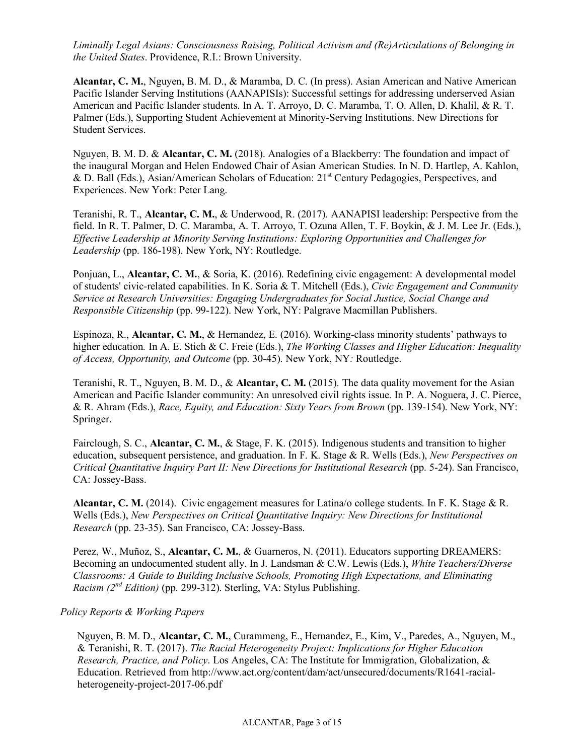*Liminally Legal Asians: Consciousness Raising, Political Activism and (Re)Articulations of Belonging in the United States*. Providence, R.I.: Brown University.

**Alcantar, C. M.**, Nguyen, B. M. D., & Maramba, D. C. (In press). Asian American and Native American Pacific Islander Serving Institutions (AANAPISIs): Successful settings for addressing underserved Asian American and Pacific Islander students. In A. T. Arroyo, D. C. Maramba, T. O. Allen, D. Khalil, & R. T. Palmer (Eds.), Supporting Student Achievement at Minority-Serving Institutions. New Directions for Student Services.

Nguyen, B. M. D. & **Alcantar, C. M.** (2018). Analogies of a Blackberry: The foundation and impact of the inaugural Morgan and Helen Endowed Chair of Asian American Studies. In N. D. Hartlep, A. Kahlon, & D. Ball (Eds.), Asian/American Scholars of Education: 21st Century Pedagogies, Perspectives, and Experiences. New York: Peter Lang.

Teranishi, R. T., **Alcantar, C. M.**, & Underwood, R. (2017). AANAPISI leadership: Perspective from the field. In R. T. Palmer, D. C. Maramba, A. T. Arroyo, T. Ozuna Allen, T. F. Boykin, & J. M. Lee Jr. (Eds.), *Effective Leadership at Minority Serving Institutions: Exploring Opportunities and Challenges for Leadership* (pp. 186-198). New York, NY: Routledge.

Ponjuan, L., **Alcantar, C. M.**, & Soria, K. (2016). Redefining civic engagement: A developmental model of students' civic-related capabilities. In K. Soria & T. Mitchell (Eds.), *Civic Engagement and Community Service at Research Universities: Engaging Undergraduates for Social Justice, Social Change and Responsible Citizenship* (pp. 99-122). New York, NY: Palgrave Macmillan Publishers.

Espinoza, R., **Alcantar, C. M.**, & Hernandez, E. (2016). Working-class minority students' pathways to higher education*.* In A. E. Stich & C. Freie (Eds.), *The Working Classes and Higher Education: Inequality of Access, Opportunity, and Outcome* (pp. 30-45). New York, NY*:* Routledge.

Teranishi, R. T., Nguyen, B. M. D., & **Alcantar, C. M.** (2015). The data quality movement for the Asian American and Pacific Islander community: An unresolved civil rights issue. In P. A. Noguera, J. C. Pierce, & R. Ahram (Eds.), *Race, Equity, and Education: Sixty Years from Brown* (pp. 139-154). New York, NY: Springer.

Fairclough, S. C., **Alcantar, C. M.**, & Stage, F. K. (2015). Indigenous students and transition to higher education, subsequent persistence, and graduation. In F. K. Stage & R. Wells (Eds.), *New Perspectives on Critical Quantitative Inquiry Part II: New Directions for Institutional Research (pp. 5-24). San Francisco,* CA: Jossey-Bass.

**Alcantar, C. M.** (2014). Civic engagement measures for Latina/o college students. In F. K. Stage & R. Wells (Eds.), *New Perspectives on Critical Quantitative Inquiry: New Directions for Institutional Research* (pp. 23-35). San Francisco, CA: Jossey-Bass.

Perez, W., Muñoz, S., **Alcantar, C. M.**, & Guarneros, N. (2011). Educators supporting DREAMERS: Becoming an undocumented student ally. In J. Landsman & C.W. Lewis (Eds.), *White Teachers/Diverse Classrooms: A Guide to Building Inclusive Schools, Promoting High Expectations, and Eliminating Racism (2<sup>nd</sup> Edition)* (pp. 299-312). Sterling, VA: Stylus Publishing.

#### *Policy Reports & Working Papers*

Nguyen, B. M. D., **Alcantar, C. M.**, Curammeng, E., Hernandez, E., Kim, V., Paredes, A., Nguyen, M., & Teranishi, R. T. (2017). *The Racial Heterogeneity Project: Implications for Higher Education Research, Practice, and Policy*. Los Angeles, CA: The Institute for Immigration, Globalization, & Education. Retrieved from http://www.act.org/content/dam/act/unsecured/documents/R1641-racialheterogeneity-project-2017-06.pdf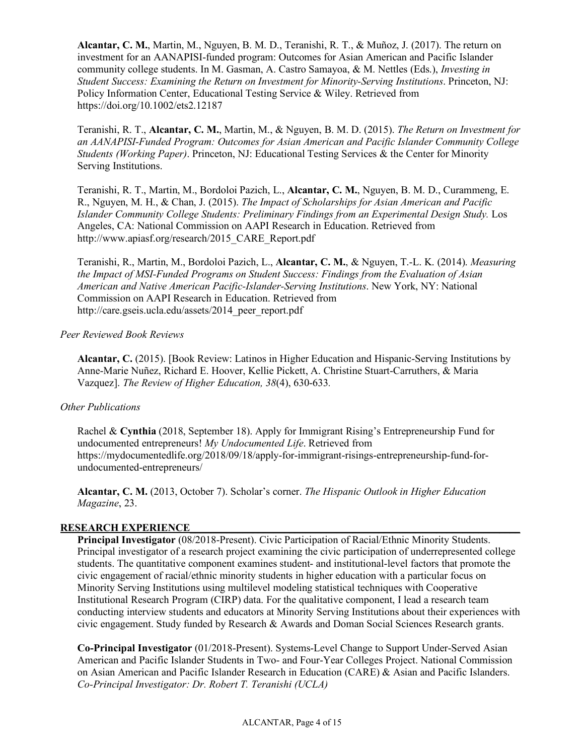**Alcantar, C. M.**, Martin, M., Nguyen, B. M. D., Teranishi, R. T., & Muñoz, J. (2017). The return on investment for an AANAPISI-funded program: Outcomes for Asian American and Pacific Islander community college students. In M. Gasman, A. Castro Samayoa, & M. Nettles (Eds.), *Investing in Student Success: Examining the Return on Investment for Minority-Serving Institutions*. Princeton, NJ: Policy Information Center, Educational Testing Service & Wiley. Retrieved from https://doi.org/10.1002/ets2.12187

Teranishi, R. T., **Alcantar, C. M.**, Martin, M., & Nguyen, B. M. D. (2015). *The Return on Investment for an AANAPISI-Funded Program: Outcomes for Asian American and Pacific Islander Community College Students (Working Paper)*. Princeton, NJ: Educational Testing Services & the Center for Minority Serving Institutions.

Teranishi, R. T., Martin, M., Bordoloi Pazich, L., **Alcantar, C. M.**, Nguyen, B. M. D., Curammeng, E. R., Nguyen, M. H., & Chan, J. (2015). *The Impact of Scholarships for Asian American and Pacific Islander Community College Students: Preliminary Findings from an Experimental Design Study.* Los Angeles, CA: National Commission on AAPI Research in Education. Retrieved from http://www.apiasf.org/research/2015\_CARE\_Report.pdf

Teranishi, R., Martin, M., Bordoloi Pazich, L., **Alcantar, C. M.**, & Nguyen, T.-L. K. (2014). *Measuring the Impact of MSI-Funded Programs on Student Success: Findings from the Evaluation of Asian American and Native American Pacific-Islander-Serving Institutions*. New York, NY: National Commission on AAPI Research in Education. Retrieved from http://care.gseis.ucla.edu/assets/2014\_peer\_report.pdf

#### *Peer Reviewed Book Reviews*

**Alcantar, C.** (2015). [Book Review: Latinos in Higher Education and Hispanic-Serving Institutions by Anne-Marie Nuñez, Richard E. Hoover, Kellie Pickett, A. Christine Stuart-Carruthers, & Maria Vazquez]. *The Review of Higher Education, 38*(4), 630-633*.*

#### *Other Publications*

Rachel & **Cynthia** (2018, September 18). Apply for Immigrant Rising's Entrepreneurship Fund for undocumented entrepreneurs! *My Undocumented Life*. Retrieved from https://mydocumentedlife.org/2018/09/18/apply-for-immigrant-risings-entrepreneurship-fund-forundocumented-entrepreneurs/

**Alcantar, C. M.** (2013, October 7). Scholar's corner. *The Hispanic Outlook in Higher Education Magazine*, 23.

#### **RESEARCH EXPERIENCE\_\_\_\_\_\_\_\_\_\_\_\_\_\_\_\_\_\_\_\_\_\_\_\_\_\_\_\_\_\_\_\_\_\_\_\_\_\_\_\_\_\_\_\_\_\_\_\_\_\_\_\_\_\_\_\_\_\_\_\_\_\_\_**

**Principal Investigator** (08/2018-Present). Civic Participation of Racial/Ethnic Minority Students. Principal investigator of a research project examining the civic participation of underrepresented college students. The quantitative component examines student- and institutional-level factors that promote the civic engagement of racial/ethnic minority students in higher education with a particular focus on Minority Serving Institutions using multilevel modeling statistical techniques with Cooperative Institutional Research Program (CIRP) data. For the qualitative component, I lead a research team conducting interview students and educators at Minority Serving Institutions about their experiences with civic engagement. Study funded by Research & Awards and Doman Social Sciences Research grants.

**Co-Principal Investigator** (01/2018-Present). Systems-Level Change to Support Under-Served Asian American and Pacific Islander Students in Two- and Four-Year Colleges Project. National Commission on Asian American and Pacific Islander Research in Education (CARE) & Asian and Pacific Islanders. *Co-Principal Investigator: Dr. Robert T. Teranishi (UCLA)*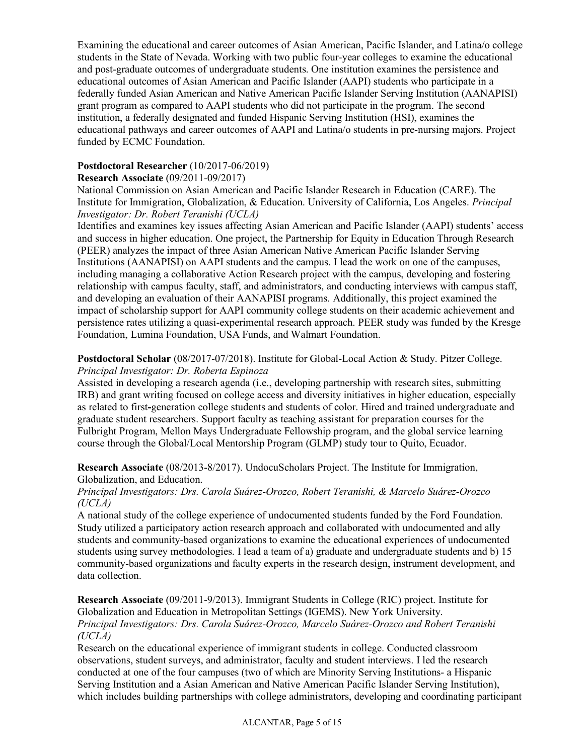Examining the educational and career outcomes of Asian American, Pacific Islander, and Latina/o college students in the State of Nevada. Working with two public four-year colleges to examine the educational and post-graduate outcomes of undergraduate students. One institution examines the persistence and educational outcomes of Asian American and Pacific Islander (AAPI) students who participate in a federally funded Asian American and Native American Pacific Islander Serving Institution (AANAPISI) grant program as compared to AAPI students who did not participate in the program. The second institution, a federally designated and funded Hispanic Serving Institution (HSI), examines the educational pathways and career outcomes of AAPI and Latina/o students in pre-nursing majors. Project funded by ECMC Foundation.

## **Postdoctoral Researcher** (10/2017-06/2019)

#### **Research Associate** (09/2011-09/2017)

National Commission on Asian American and Pacific Islander Research in Education (CARE). The Institute for Immigration, Globalization, & Education. University of California, Los Angeles. *Principal Investigator: Dr. Robert Teranishi (UCLA)*

Identifies and examines key issues affecting Asian American and Pacific Islander (AAPI) students' access and success in higher education. One project, the Partnership for Equity in Education Through Research (PEER) analyzes the impact of three Asian American Native American Pacific Islander Serving Institutions (AANAPISI) on AAPI students and the campus. I lead the work on one of the campuses, including managing a collaborative Action Research project with the campus, developing and fostering relationship with campus faculty, staff, and administrators, and conducting interviews with campus staff, and developing an evaluation of their AANAPISI programs. Additionally, this project examined the impact of scholarship support for AAPI community college students on their academic achievement and persistence rates utilizing a quasi-experimental research approach. PEER study was funded by the Kresge Foundation, Lumina Foundation, USA Funds, and Walmart Foundation.

**Postdoctoral Scholar** (08/2017-07/2018). Institute for Global-Local Action & Study. Pitzer College. *Principal Investigator: Dr. Roberta Espinoza*

Assisted in developing a research agenda (i.e., developing partnership with research sites, submitting IRB) and grant writing focused on college access and diversity initiatives in higher education, especially as related to first**-**generation college students and students of color. Hired and trained undergraduate and graduate student researchers. Support faculty as teaching assistant for preparation courses for the Fulbright Program, Mellon Mays Undergraduate Fellowship program, and the global service learning course through the Global/Local Mentorship Program (GLMP) study tour to Quito, Ecuador.

**Research Associate** (08/2013-8/2017). UndocuScholars Project. The Institute for Immigration, Globalization, and Education.

#### *Principal Investigators: Drs. Carola Suárez-Orozco, Robert Teranishi, & Marcelo Suárez-Orozco (UCLA)*

A national study of the college experience of undocumented students funded by the Ford Foundation. Study utilized a participatory action research approach and collaborated with undocumented and ally students and community-based organizations to examine the educational experiences of undocumented students using survey methodologies. I lead a team of a) graduate and undergraduate students and b) 15 community-based organizations and faculty experts in the research design, instrument development, and data collection.

**Research Associate** (09/2011-9/2013). Immigrant Students in College (RIC) project. Institute for Globalization and Education in Metropolitan Settings (IGEMS). New York University. *Principal Investigators: Drs. Carola Suárez-Orozco, Marcelo Suárez-Orozco and Robert Teranishi (UCLA)*

Research on the educational experience of immigrant students in college. Conducted classroom observations, student surveys, and administrator, faculty and student interviews. I led the research conducted at one of the four campuses (two of which are Minority Serving Institutions- a Hispanic Serving Institution and a Asian American and Native American Pacific Islander Serving Institution), which includes building partnerships with college administrators, developing and coordinating participant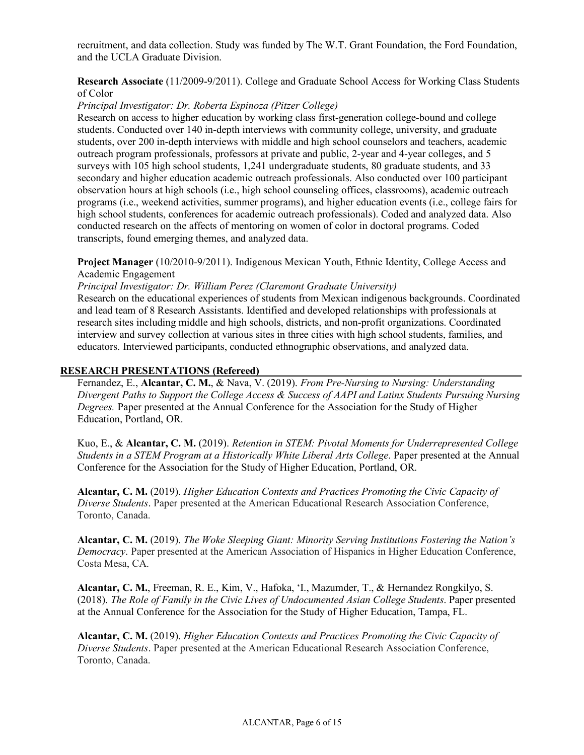recruitment, and data collection. Study was funded by The W.T. Grant Foundation, the Ford Foundation, and the UCLA Graduate Division.

#### **Research Associate** (11/2009-9/2011). College and Graduate School Access for Working Class Students of Color

## *Principal Investigator: Dr. Roberta Espinoza (Pitzer College)*

Research on access to higher education by working class first-generation college-bound and college students. Conducted over 140 in-depth interviews with community college, university, and graduate students, over 200 in-depth interviews with middle and high school counselors and teachers, academic outreach program professionals, professors at private and public, 2-year and 4-year colleges, and 5 surveys with 105 high school students, 1,241 undergraduate students, 80 graduate students, and 33 secondary and higher education academic outreach professionals. Also conducted over 100 participant observation hours at high schools (i.e., high school counseling offices, classrooms), academic outreach programs (i.e., weekend activities, summer programs), and higher education events (i.e., college fairs for high school students, conferences for academic outreach professionals). Coded and analyzed data. Also conducted research on the affects of mentoring on women of color in doctoral programs. Coded transcripts, found emerging themes, and analyzed data.

**Project Manager** (10/2010-9/2011). Indigenous Mexican Youth, Ethnic Identity, College Access and Academic Engagement

*Principal Investigator: Dr. William Perez (Claremont Graduate University)*

Research on the educational experiences of students from Mexican indigenous backgrounds. Coordinated and lead team of 8 Research Assistants. Identified and developed relationships with professionals at research sites including middle and high schools, districts, and non-profit organizations. Coordinated interview and survey collection at various sites in three cities with high school students, families, and educators. Interviewed participants, conducted ethnographic observations, and analyzed data.

#### RESEARCH PRESENTATIONS (Refereed)

Fernandez, E., **Alcantar, C. M.**, & Nava, V. (2019). *From Pre-Nursing to Nursing: Understanding Divergent Paths to Support the College Access & Success of AAPI and Latinx Students Pursuing Nursing Degrees.* Paper presented at the Annual Conference for the Association for the Study of Higher Education, Portland, OR.

Kuo, E., & **Alcantar, C. M.** (2019). *Retention in STEM: Pivotal Moments for Underrepresented College Students in a STEM Program at a Historically White Liberal Arts College*. Paper presented at the Annual Conference for the Association for the Study of Higher Education, Portland, OR.

**Alcantar, C. M.** (2019). *Higher Education Contexts and Practices Promoting the Civic Capacity of Diverse Students*. Paper presented at the American Educational Research Association Conference, Toronto, Canada.

**Alcantar, C. M.** (2019). *The Woke Sleeping Giant: Minority Serving Institutions Fostering the Nation's Democracy*. Paper presented at the American Association of Hispanics in Higher Education Conference, Costa Mesa, CA.

**Alcantar, C. M.**, Freeman, R. E., Kim, V., Hafoka, 'I., Mazumder, T., & Hernandez Rongkilyo, S. (2018). *The Role of Family in the Civic Lives of Undocumented Asian College Students*. Paper presented at the Annual Conference for the Association for the Study of Higher Education, Tampa, FL.

**Alcantar, C. M.** (2019). *Higher Education Contexts and Practices Promoting the Civic Capacity of Diverse Students*. Paper presented at the American Educational Research Association Conference, Toronto, Canada.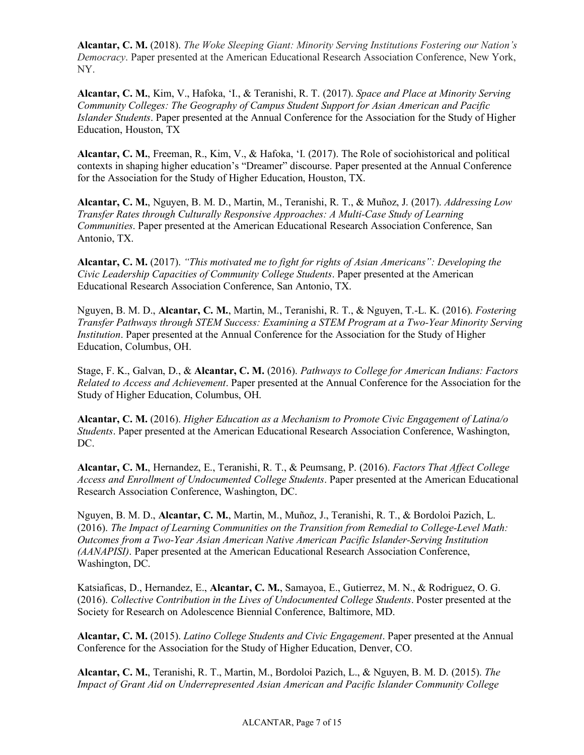**Alcantar, C. M.** (2018). *The Woke Sleeping Giant: Minority Serving Institutions Fostering our Nation's Democracy*. Paper presented at the American Educational Research Association Conference, New York, NY.

**Alcantar, C. M.**, Kim, V., Hafoka, 'I., & Teranishi, R. T. (2017). *Space and Place at Minority Serving Community Colleges: The Geography of Campus Student Support for Asian American and Pacific Islander Students*. Paper presented at the Annual Conference for the Association for the Study of Higher Education, Houston, TX

**Alcantar, C. M.**, Freeman, R., Kim, V., & Hafoka, 'I. (2017). The Role of sociohistorical and political contexts in shaping higher education's "Dreamer" discourse. Paper presented at the Annual Conference for the Association for the Study of Higher Education, Houston, TX.

**Alcantar, C. M.**, Nguyen, B. M. D., Martin, M., Teranishi, R. T., & Muñoz, J. (2017). *Addressing Low Transfer Rates through Culturally Responsive Approaches: A Multi-Case Study of Learning Communities*. Paper presented at the American Educational Research Association Conference, San Antonio, TX.

**Alcantar, C. M.** (2017). *"This motivated me to fight for rights of Asian Americans": Developing the Civic Leadership Capacities of Community College Students*. Paper presented at the American Educational Research Association Conference, San Antonio, TX.

Nguyen, B. M. D., **Alcantar, C. M.**, Martin, M., Teranishi, R. T., & Nguyen, T.-L. K. (2016). *Fostering Transfer Pathways through STEM Success: Examining a STEM Program at a Two-Year Minority Serving Institution*. Paper presented at the Annual Conference for the Association for the Study of Higher Education, Columbus, OH.

Stage, F. K., Galvan, D., & **Alcantar, C. M.** (2016). *Pathways to College for American Indians: Factors Related to Access and Achievement*. Paper presented at the Annual Conference for the Association for the Study of Higher Education, Columbus, OH.

**Alcantar, C. M.** (2016). *Higher Education as a Mechanism to Promote Civic Engagement of Latina/o Students*. Paper presented at the American Educational Research Association Conference, Washington, DC.

**Alcantar, C. M.**, Hernandez, E., Teranishi, R. T., & Peumsang, P. (2016). *Factors That Affect College Access and Enrollment of Undocumented College Students*. Paper presented at the American Educational Research Association Conference, Washington, DC.

Nguyen, B. M. D., **Alcantar, C. M.**, Martin, M., Muñoz, J., Teranishi, R. T., & Bordoloi Pazich, L. (2016). *The Impact of Learning Communities on the Transition from Remedial to College-Level Math: Outcomes from a Two-Year Asian American Native American Pacific Islander-Serving Institution (AANAPISI)*. Paper presented at the American Educational Research Association Conference, Washington, DC.

Katsiaficas, D., Hernandez, E., **Alcantar, C. M.**, Samayoa, E., Gutierrez, M. N., & Rodriguez, O. G. (2016). *Collective Contribution in the Lives of Undocumented College Students*. Poster presented at the Society for Research on Adolescence Biennial Conference, Baltimore, MD.

**Alcantar, C. M.** (2015). *Latino College Students and Civic Engagement*. Paper presented at the Annual Conference for the Association for the Study of Higher Education, Denver, CO.

**Alcantar, C. M.**, Teranishi, R. T., Martin, M., Bordoloi Pazich, L., & Nguyen, B. M. D. (2015). *The Impact of Grant Aid on Underrepresented Asian American and Pacific Islander Community College*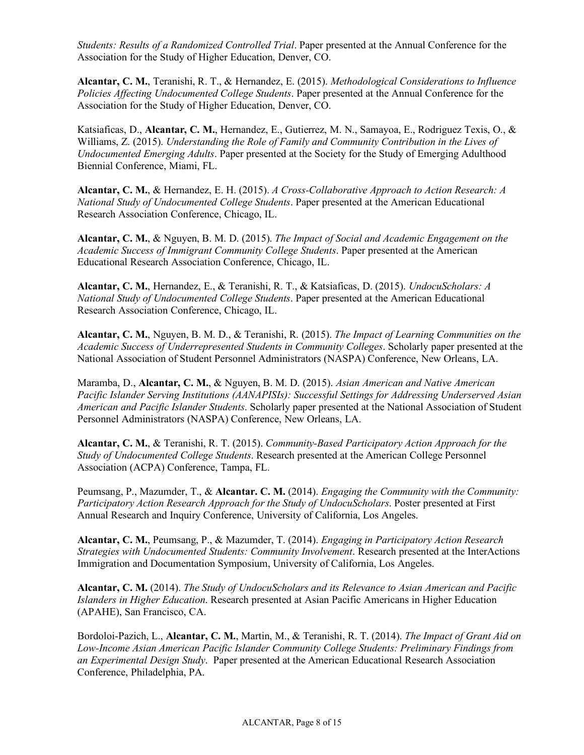*Students: Results of a Randomized Controlled Trial*. Paper presented at the Annual Conference for the Association for the Study of Higher Education, Denver, CO.

**Alcantar, C. M.**, Teranishi, R. T., & Hernandez, E. (2015). *Methodological Considerations to Influence Policies Affecting Undocumented College Students*. Paper presented at the Annual Conference for the Association for the Study of Higher Education, Denver, CO.

Katsiaficas, D., **Alcantar, C. M.**, Hernandez, E., Gutierrez, M. N., Samayoa, E., Rodriguez Texis, O., & Williams, Z. (2015). *Understanding the Role of Family and Community Contribution in the Lives of Undocumented Emerging Adults*. Paper presented at the Society for the Study of Emerging Adulthood Biennial Conference, Miami, FL.

**Alcantar, C. M.**, & Hernandez, E. H. (2015). *A Cross-Collaborative Approach to Action Research: A National Study of Undocumented College Students*. Paper presented at the American Educational Research Association Conference, Chicago, IL.

**Alcantar, C. M.**, & Nguyen, B. M. D. (2015). *The Impact of Social and Academic Engagement on the Academic Success of Immigrant Community College Students*. Paper presented at the American Educational Research Association Conference, Chicago, IL.

**Alcantar, C. M.**, Hernandez, E., & Teranishi, R. T., & Katsiaficas, D. (2015). *UndocuScholars: A National Study of Undocumented College Students*. Paper presented at the American Educational Research Association Conference, Chicago, IL.

**Alcantar, C. M.**, Nguyen, B. M. D., & Teranishi, R. (2015). *The Impact of Learning Communities on the Academic Success of Underrepresented Students in Community Colleges*. Scholarly paper presented at the National Association of Student Personnel Administrators (NASPA) Conference, New Orleans, LA.

Maramba, D., **Alcantar, C. M.**, & Nguyen, B. M. D. (2015). *Asian American and Native American Pacific Islander Serving Institutions (AANAPISIs): Successful Settings for Addressing Underserved Asian American and Pacific Islander Students*. Scholarly paper presented at the National Association of Student Personnel Administrators (NASPA) Conference, New Orleans, LA.

**Alcantar, C. M.**, & Teranishi, R. T. (2015). *Community-Based Participatory Action Approach for the Study of Undocumented College Students*. Research presented at the American College Personnel Association (ACPA) Conference, Tampa, FL.

Peumsang, P., Mazumder, T., & **Alcantar. C. M.** (2014). *Engaging the Community with the Community: Participatory Action Research Approach for the Study of UndocuScholars*. Poster presented at First Annual Research and Inquiry Conference, University of California, Los Angeles.

**Alcantar, C. M.**, Peumsang, P., & Mazumder, T. (2014). *Engaging in Participatory Action Research Strategies with Undocumented Students: Community Involvement*. Research presented at the InterActions Immigration and Documentation Symposium, University of California, Los Angeles.

**Alcantar, C. M.** (2014). *The Study of UndocuScholars and its Relevance to Asian American and Pacific Islanders in Higher Education*. Research presented at Asian Pacific Americans in Higher Education (APAHE), San Francisco, CA.

Bordoloi-Pazich, L., **Alcantar, C. M.**, Martin, M., & Teranishi, R. T. (2014). *The Impact of Grant Aid on Low-Income Asian American Pacific Islander Community College Students: Preliminary Findings from an Experimental Design Study*. Paper presented at the American Educational Research Association Conference, Philadelphia, PA.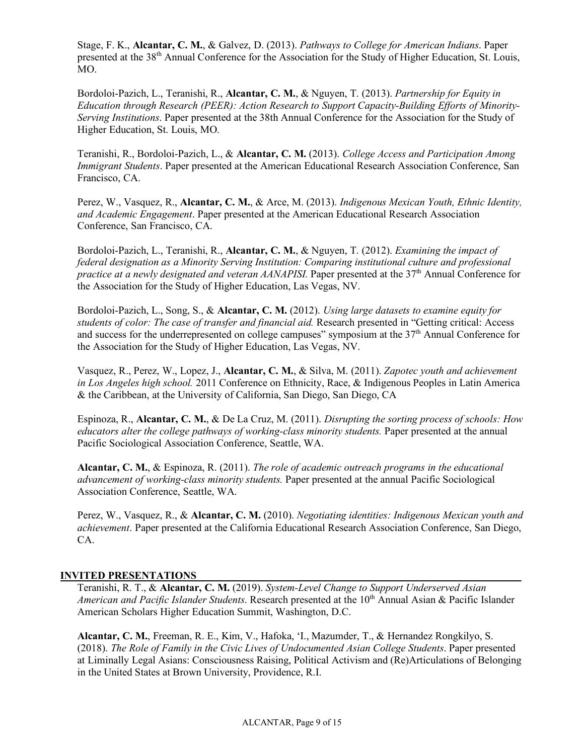Stage, F. K., **Alcantar, C. M.**, & Galvez, D. (2013). *Pathways to College for American Indians*. Paper presented at the 38<sup>th</sup> Annual Conference for the Association for the Study of Higher Education, St. Louis, MO.

Bordoloi-Pazich, L., Teranishi, R., **Alcantar, C. M.**, & Nguyen, T. (2013). *Partnership for Equity in Education through Research (PEER): Action Research to Support Capacity-Building Efforts of Minority-Serving Institutions*. Paper presented at the 38th Annual Conference for the Association for the Study of Higher Education, St. Louis, MO.

Teranishi, R., Bordoloi-Pazich, L., & **Alcantar, C. M.** (2013). *College Access and Participation Among Immigrant Students*. Paper presented at the American Educational Research Association Conference, San Francisco, CA.

Perez, W., Vasquez, R., **Alcantar, C. M.**, & Arce, M. (2013). *Indigenous Mexican Youth, Ethnic Identity, and Academic Engagement*. Paper presented at the American Educational Research Association Conference, San Francisco, CA.

Bordoloi-Pazich, L., Teranishi, R., **Alcantar, C. M.**, & Nguyen, T. (2012). *Examining the impact of federal designation as a Minority Serving Institution: Comparing institutional culture and professional practice at a newly designated and veteran AANAPISI*. Paper presented at the 37<sup>th</sup> Annual Conference for the Association for the Study of Higher Education, Las Vegas, NV.

Bordoloi-Pazich, L., Song, S., & **Alcantar, C. M.** (2012). *Using large datasets to examine equity for students of color: The case of transfer and financial aid.* Research presented in "Getting critical: Access and success for the underrepresented on college campuses" symposium at the  $37<sup>th</sup>$  Annual Conference for the Association for the Study of Higher Education, Las Vegas, NV.

Vasquez, R., Perez, W., Lopez, J., **Alcantar, C. M.**, & Silva, M. (2011). *Zapotec youth and achievement in Los Angeles high school.* 2011 Conference on Ethnicity, Race, & Indigenous Peoples in Latin America & the Caribbean, at the University of California, San Diego, San Diego, CA

Espinoza, R., **Alcantar, C. M.**, & De La Cruz, M. (2011). *Disrupting the sorting process of schools: How educators alter the college pathways of working-class minority students.* Paper presented at the annual Pacific Sociological Association Conference, Seattle, WA.

**Alcantar, C. M.**, & Espinoza, R. (2011). *The role of academic outreach programs in the educational advancement of working-class minority students.* Paper presented at the annual Pacific Sociological Association Conference, Seattle, WA.

Perez, W., Vasquez, R., & **Alcantar, C. M.** (2010). *Negotiating identities: Indigenous Mexican youth and achievement*. Paper presented at the California Educational Research Association Conference, San Diego, CA.

#### **INVITED PRESENTATIONS\_\_\_\_\_\_\_\_\_\_\_\_\_\_\_\_\_\_\_\_\_\_\_\_\_\_\_\_\_\_\_\_\_\_\_\_\_\_\_\_\_\_\_\_\_\_\_\_\_\_\_\_\_\_\_\_\_\_\_\_\_\_**

Teranishi, R. T., & **Alcantar, C. M.** (2019). *System-Level Change to Support Underserved Asian American and Pacific Islander Students*. Research presented at the 10<sup>th</sup> Annual Asian & Pacific Islander American Scholars Higher Education Summit, Washington, D.C.

**Alcantar, C. M.**, Freeman, R. E., Kim, V., Hafoka, 'I., Mazumder, T., & Hernandez Rongkilyo, S. (2018). *The Role of Family in the Civic Lives of Undocumented Asian College Students*. Paper presented at Liminally Legal Asians: Consciousness Raising, Political Activism and (Re)Articulations of Belonging in the United States at Brown University, Providence, R.I.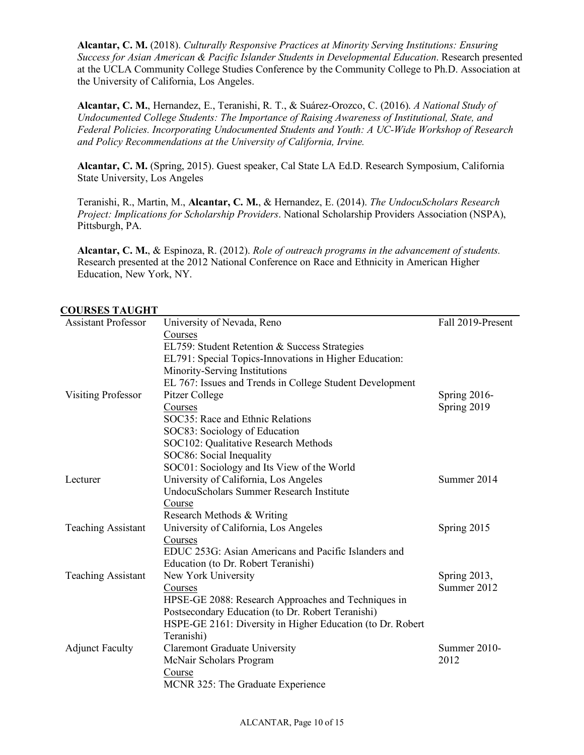**Alcantar, C. M.** (2018). *Culturally Responsive Practices at Minority Serving Institutions: Ensuring Success for Asian American & Pacific Islander Students in Developmental Education*. Research presented at the UCLA Community College Studies Conference by the Community College to Ph.D. Association at the University of California, Los Angeles.

**Alcantar, C. M.**, Hernandez, E., Teranishi, R. T., & Suárez-Orozco, C. (2016). *A National Study of Undocumented College Students: The Importance of Raising Awareness of Institutional, State, and Federal Policies. Incorporating Undocumented Students and Youth: A UC-Wide Workshop of Research and Policy Recommendations at the University of California, Irvine.* 

**Alcantar, C. M.** (Spring, 2015). Guest speaker, Cal State LA Ed.D. Research Symposium, California State University, Los Angeles

Teranishi, R., Martin, M., **Alcantar, C. M.**, & Hernandez, E. (2014). *The UndocuScholars Research Project: Implications for Scholarship Providers*. National Scholarship Providers Association (NSPA), Pittsburgh, PA.

**Alcantar, C. M.**, & Espinoza, R. (2012). *Role of outreach programs in the advancement of students.* Research presented at the 2012 National Conference on Race and Ethnicity in American Higher Education, New York, NY.

| <b>COURSES TAUGHT</b>      |                                                            |                   |
|----------------------------|------------------------------------------------------------|-------------------|
| <b>Assistant Professor</b> | University of Nevada, Reno                                 | Fall 2019-Present |
|                            | Courses                                                    |                   |
|                            | EL759: Student Retention & Success Strategies              |                   |
|                            | EL791: Special Topics-Innovations in Higher Education:     |                   |
|                            | Minority-Serving Institutions                              |                   |
|                            | EL 767: Issues and Trends in College Student Development   |                   |
| <b>Visiting Professor</b>  | Pitzer College                                             | Spring $2016$ -   |
|                            | Courses                                                    | Spring 2019       |
|                            | SOC35: Race and Ethnic Relations                           |                   |
|                            | SOC83: Sociology of Education                              |                   |
|                            | SOC102: Qualitative Research Methods                       |                   |
|                            | SOC86: Social Inequality                                   |                   |
|                            | SOC01: Sociology and Its View of the World                 |                   |
| Lecturer                   | University of California, Los Angeles                      | Summer 2014       |
|                            | <b>UndocuScholars Summer Research Institute</b>            |                   |
|                            | Course                                                     |                   |
|                            | Research Methods & Writing                                 |                   |
| <b>Teaching Assistant</b>  | University of California, Los Angeles                      | Spring 2015       |
|                            | Courses                                                    |                   |
|                            | EDUC 253G: Asian Americans and Pacific Islanders and       |                   |
|                            | Education (to Dr. Robert Teranishi)                        |                   |
| <b>Teaching Assistant</b>  | New York University                                        | Spring 2013,      |
|                            | Courses                                                    | Summer 2012       |
|                            | HPSE-GE 2088: Research Approaches and Techniques in        |                   |
|                            | Postsecondary Education (to Dr. Robert Teranishi)          |                   |
|                            | HSPE-GE 2161: Diversity in Higher Education (to Dr. Robert |                   |
|                            | Teranishi)                                                 |                   |
| <b>Adjunct Faculty</b>     | <b>Claremont Graduate University</b>                       | Summer 2010-      |
|                            | McNair Scholars Program                                    | 2012              |
|                            | Course                                                     |                   |
|                            | MCNR 325: The Graduate Experience                          |                   |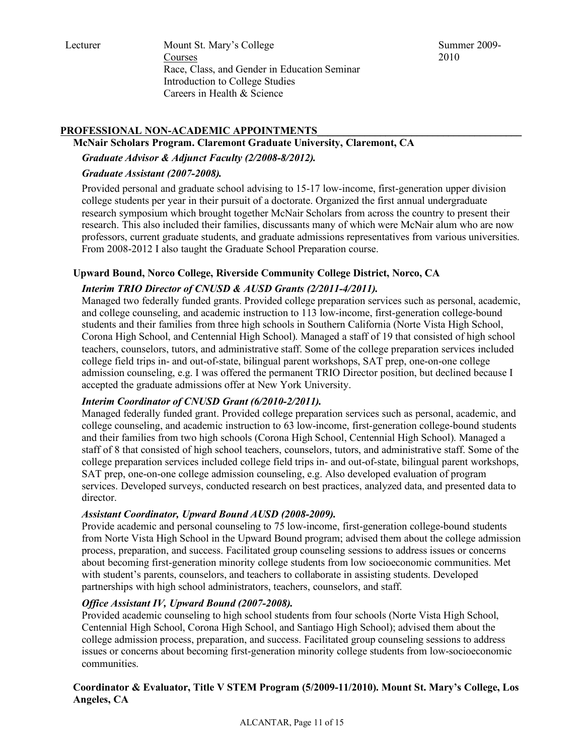Lecturer Mount St. Mary's College Courses Race, Class, and Gender in Education Seminar Introduction to College Studies Careers in Health & Science

Summer 2009- 2010

# PROFESSIONAL NON-ACADEMIC APPOINTMENTS

#### **McNair Scholars Program. Claremont Graduate University, Claremont, CA**

*Graduate Advisor & Adjunct Faculty (2/2008-8/2012).*

## *Graduate Assistant (2007-2008).*

Provided personal and graduate school advising to 15-17 low-income, first-generation upper division college students per year in their pursuit of a doctorate. Organized the first annual undergraduate research symposium which brought together McNair Scholars from across the country to present their research. This also included their families, discussants many of which were McNair alum who are now professors, current graduate students, and graduate admissions representatives from various universities. From 2008-2012 I also taught the Graduate School Preparation course.

## **Upward Bound, Norco College, Riverside Community College District, Norco, CA**

# *Interim TRIO Director of CNUSD & AUSD Grants (2/2011-4/2011).*

Managed two federally funded grants. Provided college preparation services such as personal, academic, and college counseling, and academic instruction to 113 low-income, first-generation college-bound students and their families from three high schools in Southern California (Norte Vista High School, Corona High School, and Centennial High School). Managed a staff of 19 that consisted of high school teachers, counselors, tutors, and administrative staff. Some of the college preparation services included college field trips in- and out-of-state, bilingual parent workshops, SAT prep, one-on-one college admission counseling, e.g. I was offered the permanent TRIO Director position, but declined because I accepted the graduate admissions offer at New York University.

# *Interim Coordinator of CNUSD Grant (6/2010-2/2011).*

Managed federally funded grant. Provided college preparation services such as personal, academic, and college counseling, and academic instruction to 63 low-income, first-generation college-bound students and their families from two high schools (Corona High School, Centennial High School). Managed a staff of 8 that consisted of high school teachers, counselors, tutors, and administrative staff. Some of the college preparation services included college field trips in- and out-of-state, bilingual parent workshops, SAT prep, one-on-one college admission counseling, e.g. Also developed evaluation of program services. Developed surveys, conducted research on best practices, analyzed data, and presented data to director.

#### *Assistant Coordinator, Upward Bound AUSD (2008-2009).*

Provide academic and personal counseling to 75 low-income, first-generation college-bound students from Norte Vista High School in the Upward Bound program; advised them about the college admission process, preparation, and success. Facilitated group counseling sessions to address issues or concerns about becoming first-generation minority college students from low socioeconomic communities. Met with student's parents, counselors, and teachers to collaborate in assisting students. Developed partnerships with high school administrators, teachers, counselors, and staff.

#### *Office Assistant IV, Upward Bound (2007-2008).*

Provided academic counseling to high school students from four schools (Norte Vista High School, Centennial High School, Corona High School, and Santiago High School); advised them about the college admission process, preparation, and success. Facilitated group counseling sessions to address issues or concerns about becoming first-generation minority college students from low-socioeconomic communities.

# **Coordinator & Evaluator, Title V STEM Program (5/2009-11/2010). Mount St. Mary's College, Los Angeles, CA**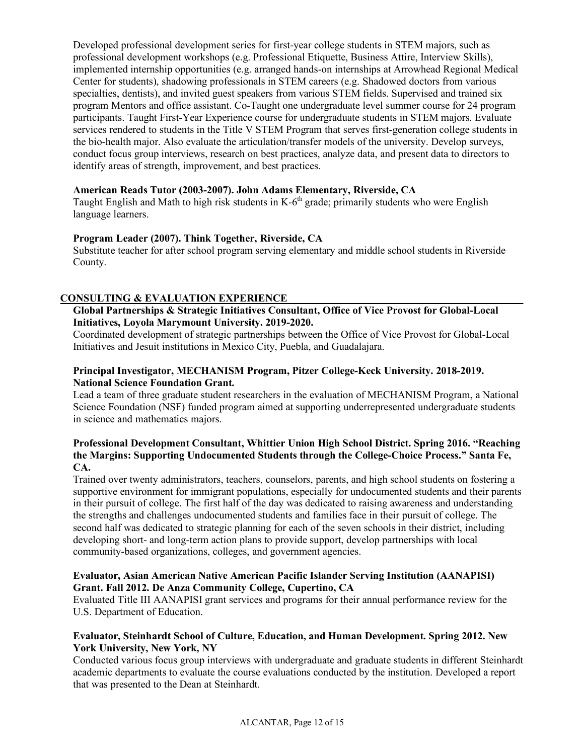Developed professional development series for first-year college students in STEM majors, such as professional development workshops (e.g. Professional Etiquette, Business Attire, Interview Skills), implemented internship opportunities (e.g. arranged hands-on internships at Arrowhead Regional Medical Center for students), shadowing professionals in STEM careers (e.g. Shadowed doctors from various specialties, dentists), and invited guest speakers from various STEM fields. Supervised and trained six program Mentors and office assistant. Co-Taught one undergraduate level summer course for 24 program participants. Taught First-Year Experience course for undergraduate students in STEM majors. Evaluate services rendered to students in the Title V STEM Program that serves first-generation college students in the bio-health major. Also evaluate the articulation/transfer models of the university. Develop surveys, conduct focus group interviews, research on best practices, analyze data, and present data to directors to identify areas of strength, improvement, and best practices.

#### **American Reads Tutor (2003-2007). John Adams Elementary, Riverside, CA**

Taught English and Math to high risk students in  $K-6<sup>th</sup>$  grade; primarily students who were English language learners.

#### **Program Leader (2007). Think Together, Riverside, CA**

Substitute teacher for after school program serving elementary and middle school students in Riverside County.

#### **CONSULTING & EVALUATION EXPERIENCE\_\_\_\_\_\_\_\_\_\_\_\_\_\_\_\_\_\_\_\_\_\_\_\_\_\_\_\_\_\_\_\_\_\_\_\_\_\_\_\_\_\_\_\_\_**

## **Global Partnerships & Strategic Initiatives Consultant, Office of Vice Provost for Global-Local Initiatives, Loyola Marymount University. 2019-2020.**

Coordinated development of strategic partnerships between the Office of Vice Provost for Global-Local Initiatives and Jesuit institutions in Mexico City, Puebla, and Guadalajara.

#### **Principal Investigator, MECHANISM Program, Pitzer College-Keck University. 2018-2019. National Science Foundation Grant.**

Lead a team of three graduate student researchers in the evaluation of MECHANISM Program, a National Science Foundation (NSF) funded program aimed at supporting underrepresented undergraduate students in science and mathematics majors.

#### **Professional Development Consultant, Whittier Union High School District. Spring 2016. "Reaching the Margins: Supporting Undocumented Students through the College-Choice Process." Santa Fe, CA.**

Trained over twenty administrators, teachers, counselors, parents, and high school students on fostering a supportive environment for immigrant populations, especially for undocumented students and their parents in their pursuit of college. The first half of the day was dedicated to raising awareness and understanding the strengths and challenges undocumented students and families face in their pursuit of college. The second half was dedicated to strategic planning for each of the seven schools in their district, including developing short- and long-term action plans to provide support, develop partnerships with local community-based organizations, colleges, and government agencies.

#### **Evaluator, Asian American Native American Pacific Islander Serving Institution (AANAPISI) Grant. Fall 2012. De Anza Community College, Cupertino, CA**

Evaluated Title III AANAPISI grant services and programs for their annual performance review for the U.S. Department of Education.

#### **Evaluator, Steinhardt School of Culture, Education, and Human Development. Spring 2012. New York University, New York, NY**

Conducted various focus group interviews with undergraduate and graduate students in different Steinhardt academic departments to evaluate the course evaluations conducted by the institution. Developed a report that was presented to the Dean at Steinhardt.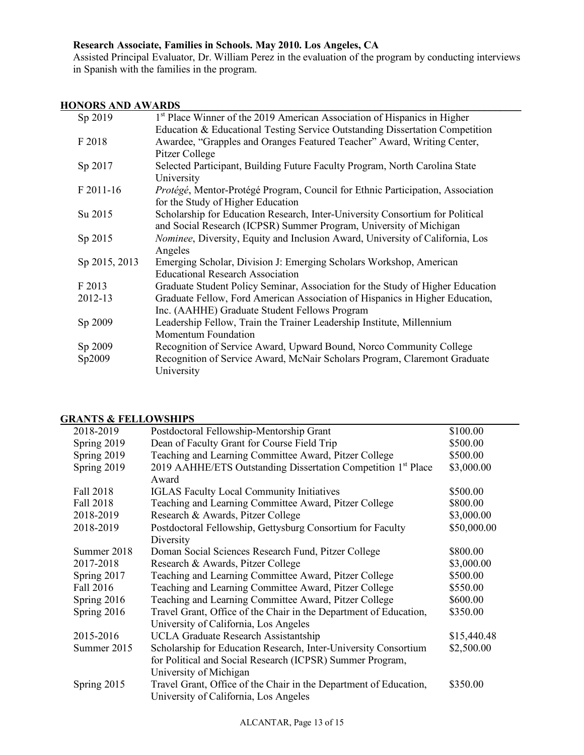# **Research Associate, Families in Schools. May 2010. Los Angeles, CA**

Assisted Principal Evaluator, Dr. William Perez in the evaluation of the program by conducting interviews in Spanish with the families in the program.

# **HONORS AND AWARDS\_\_\_\_\_\_\_\_\_\_\_\_\_\_\_\_\_\_\_\_\_\_\_\_\_\_\_\_\_\_\_\_\_\_\_\_\_\_\_\_\_\_\_\_\_\_\_\_\_\_\_\_\_\_\_\_\_\_\_\_\_\_\_\_\_**

| Sp 2019       | 1 <sup>st</sup> Place Winner of the 2019 American Association of Hispanics in Higher  |
|---------------|---------------------------------------------------------------------------------------|
|               | Education & Educational Testing Service Outstanding Dissertation Competition          |
| F 2018        | Awardee, "Grapples and Oranges Featured Teacher" Award, Writing Center,               |
|               | Pitzer College                                                                        |
| Sp 2017       | Selected Participant, Building Future Faculty Program, North Carolina State           |
|               | University                                                                            |
| F 2011-16     | Protégé, Mentor-Protégé Program, Council for Ethnic Participation, Association        |
|               | for the Study of Higher Education                                                     |
| Su 2015       | Scholarship for Education Research, Inter-University Consortium for Political         |
|               | and Social Research (ICPSR) Summer Program, University of Michigan                    |
| Sp 2015       | <i>Nominee</i> , Diversity, Equity and Inclusion Award, University of California, Los |
|               | Angeles                                                                               |
| Sp 2015, 2013 | Emerging Scholar, Division J: Emerging Scholars Workshop, American                    |
|               | <b>Educational Research Association</b>                                               |
| F 2013        | Graduate Student Policy Seminar, Association for the Study of Higher Education        |
| 2012-13       | Graduate Fellow, Ford American Association of Hispanics in Higher Education,          |
|               | Inc. (AAHHE) Graduate Student Fellows Program                                         |
| Sp 2009       | Leadership Fellow, Train the Trainer Leadership Institute, Millennium                 |
|               | <b>Momentum Foundation</b>                                                            |
| Sp 2009       | Recognition of Service Award, Upward Bound, Norco Community College                   |
| Sp2009        | Recognition of Service Award, McNair Scholars Program, Claremont Graduate             |
|               | University                                                                            |
|               |                                                                                       |

#### **GRANTS & FELLOWSHIPS\_\_\_\_\_\_\_\_\_\_\_\_\_\_\_\_\_\_\_\_\_\_\_\_\_\_\_\_\_\_\_\_\_\_\_\_\_\_\_\_\_\_\_\_\_\_\_\_\_\_\_\_\_\_\_\_\_\_\_\_\_\_**

| 2018-2019        | Postdoctoral Fellowship-Mentorship Grant                                  | \$100.00    |
|------------------|---------------------------------------------------------------------------|-------------|
| Spring 2019      | Dean of Faculty Grant for Course Field Trip                               | \$500.00    |
| Spring 2019      | Teaching and Learning Committee Award, Pitzer College                     | \$500.00    |
| Spring 2019      | 2019 AAHHE/ETS Outstanding Dissertation Competition 1 <sup>st</sup> Place | \$3,000.00  |
|                  | Award                                                                     |             |
| Fall 2018        | <b>IGLAS Faculty Local Community Initiatives</b>                          | \$500.00    |
| <b>Fall 2018</b> | Teaching and Learning Committee Award, Pitzer College                     | \$800.00    |
| 2018-2019        | Research & Awards, Pitzer College                                         | \$3,000.00  |
| 2018-2019        | Postdoctoral Fellowship, Gettysburg Consortium for Faculty                | \$50,000.00 |
|                  | Diversity                                                                 |             |
| Summer 2018      | Doman Social Sciences Research Fund, Pitzer College                       | \$800.00    |
| 2017-2018        | Research & Awards, Pitzer College                                         | \$3,000.00  |
| Spring 2017      | Teaching and Learning Committee Award, Pitzer College                     | \$500.00    |
| Fall 2016        | Teaching and Learning Committee Award, Pitzer College                     | \$550.00    |
| Spring 2016      | Teaching and Learning Committee Award, Pitzer College                     | \$600.00    |
| Spring 2016      | Travel Grant, Office of the Chair in the Department of Education,         | \$350.00    |
|                  | University of California, Los Angeles                                     |             |
| 2015-2016        | <b>UCLA Graduate Research Assistantship</b>                               | \$15,440.48 |
| Summer 2015      | Scholarship for Education Research, Inter-University Consortium           | \$2,500.00  |
|                  | for Political and Social Research (ICPSR) Summer Program,                 |             |
|                  | University of Michigan                                                    |             |
| Spring 2015      | Travel Grant, Office of the Chair in the Department of Education,         | \$350.00    |
|                  | University of California, Los Angeles                                     |             |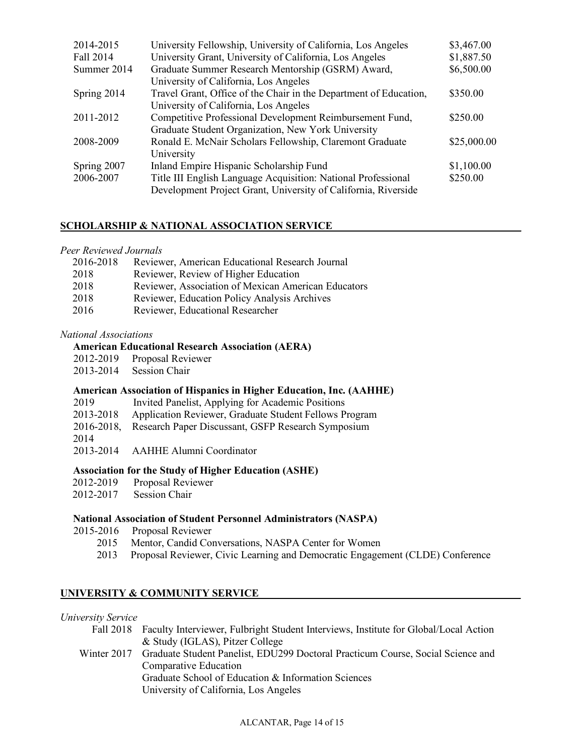| 2014-2015   | University Fellowship, University of California, Los Angeles      | \$3,467.00  |
|-------------|-------------------------------------------------------------------|-------------|
| Fall 2014   | University Grant, University of California, Los Angeles           | \$1,887.50  |
| Summer 2014 | Graduate Summer Research Mentorship (GSRM) Award,                 | \$6,500.00  |
|             | University of California, Los Angeles                             |             |
| Spring 2014 | Travel Grant, Office of the Chair in the Department of Education, | \$350.00    |
|             | University of California, Los Angeles                             |             |
| 2011-2012   | Competitive Professional Development Reimbursement Fund,          | \$250.00    |
|             | Graduate Student Organization, New York University                |             |
| 2008-2009   | Ronald E. McNair Scholars Fellowship, Claremont Graduate          | \$25,000.00 |
|             | University                                                        |             |
| Spring 2007 | Inland Empire Hispanic Scholarship Fund                           | \$1,100.00  |
| 2006-2007   | Title III English Language Acquisition: National Professional     | \$250.00    |
|             | Development Project Grant, University of California, Riverside    |             |

#### **SCHOLARSHIP & NATIONAL ASSOCIATION SERVICE\_\_\_\_\_\_\_\_\_\_\_\_\_\_\_\_\_\_\_\_\_\_\_\_\_\_\_\_\_\_\_\_\_\_\_\_**

#### *Peer Reviewed Journals*

| 2016-2018 | Reviewer, American Educational Research Journal     |
|-----------|-----------------------------------------------------|
| 2018      | Reviewer, Review of Higher Education                |
| 2018      | Reviewer, Association of Mexican American Educators |
| 2018      | Reviewer, Education Policy Analysis Archives        |
| 2016      | Reviewer, Educational Researcher                    |

#### *National Associations*

#### **American Educational Research Association (AERA)**

- 2012-2019 Proposal Reviewer
- 2013-2014 Session Chair

#### **American Association of Hispanics in Higher Education, Inc. (AAHHE)**

- 2019 Invited Panelist, Applying for Academic Positions 2013-2018 Application Reviewer, Graduate Student Fellows Program
- 2016-2018, Research Paper Discussant, GSFP Research Symposium
- 2014
- 2013-2014 AAHHE Alumni Coordinator

#### **Association for the Study of Higher Education (ASHE)**

- 2012-2019 Proposal Reviewer
- 2012-2017 Session Chair

#### **National Association of Student Personnel Administrators (NASPA)**

- 2015-2016 Proposal Reviewer
	- 2015 Mentor, Candid Conversations, NASPA Center for Women
	- 2013 Proposal Reviewer, Civic Learning and Democratic Engagement (CLDE) Conference

#### UNIVERSITY & COMMUNITY SERVICE

#### *University Service*

- Fall 2018 Faculty Interviewer, Fulbright Student Interviews, Institute for Global/Local Action & Study (IGLAS), Pitzer College
- Winter 2017 Graduate Student Panelist, EDU299 Doctoral Practicum Course, Social Science and Comparative Education Graduate School of Education & Information Sciences

University of California, Los Angeles